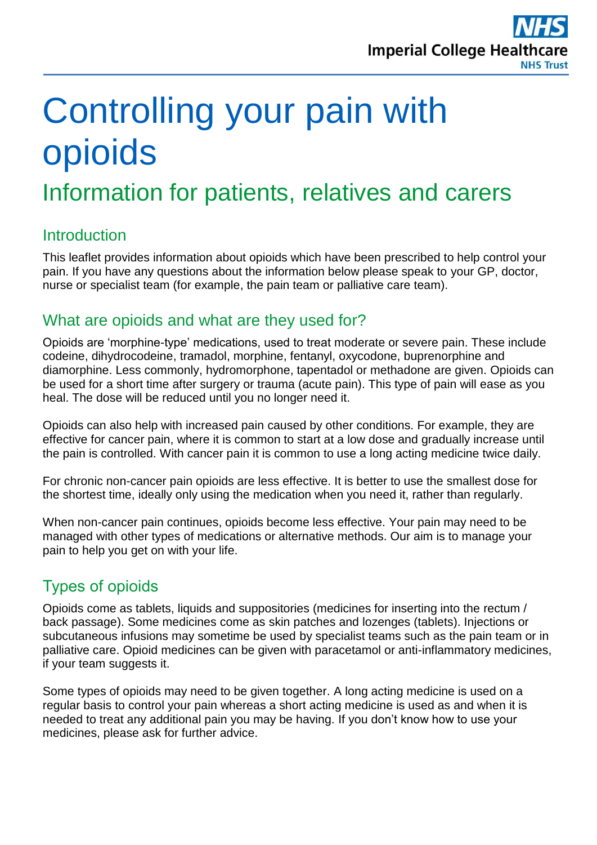

# Controlling your pain with opioids

## Information for patients, relatives and carers

## **Introduction**

This leaflet provides information about opioids which have been prescribed to help control your pain. If you have any questions about the information below please speak to your GP, doctor, nurse or specialist team (for example, the pain team or palliative care team).

## What are opioids and what are they used for?

Opioids are 'morphine-type' medications, used to treat moderate or severe pain. These include codeine, dihydrocodeine, tramadol, morphine, fentanyl, oxycodone, buprenorphine and diamorphine. Less commonly, hydromorphone, tapentadol or methadone are given. Opioids can be used for a short time after surgery or trauma (acute pain). This type of pain will ease as you heal. The dose will be reduced until you no longer need it.

Opioids can also help with increased pain caused by other conditions. For example, they are effective for cancer pain, where it is common to start at a low dose and gradually increase until the pain is controlled. With cancer pain it is common to use a long acting medicine twice daily.

For chronic non-cancer pain opioids are less effective. It is better to use the smallest dose for the shortest time, ideally only using the medication when you need it, rather than regularly.

When non-cancer pain continues, opioids become less effective. Your pain may need to be managed with other types of medications or alternative methods. Our aim is to manage your pain to help you get on with your life.

## Types of opioids

Opioids come as tablets, liquids and suppositories (medicines for inserting into the rectum / back passage). Some medicines come as skin patches and lozenges (tablets). Injections or subcutaneous infusions may sometime be used by specialist teams such as the pain team or in palliative care. Opioid medicines can be given with paracetamol or anti-inflammatory medicines, if your team suggests it.

Some types of opioids may need to be given together. A long acting medicine is used on a regular basis to control your pain whereas a short acting medicine is used as and when it is needed to treat any additional pain you may be having. If you don't know how to use your medicines, please ask for further advice.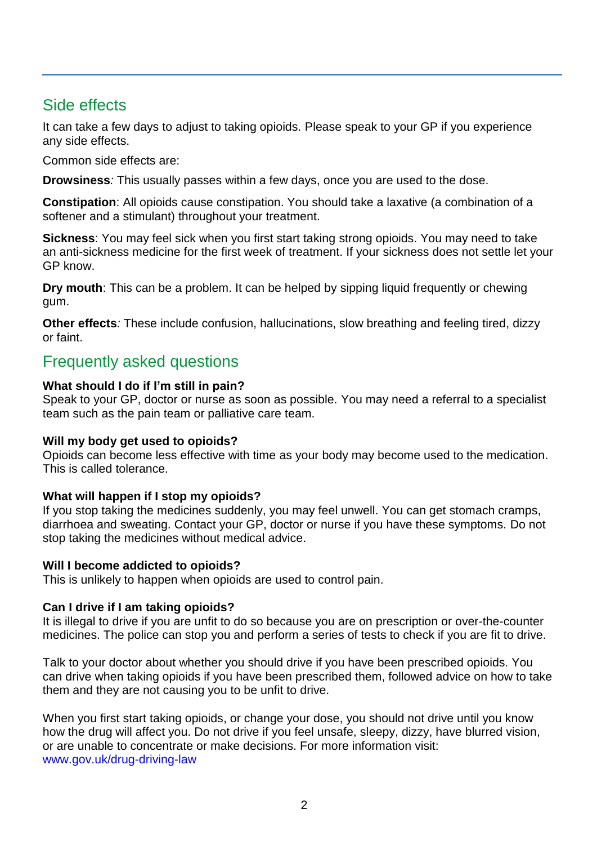## Side effects

It can take a few days to adjust to taking opioids. Please speak to your GP if you experience any side effects.

Common side effects are:

**Drowsiness***:* This usually passes within a few days, once you are used to the dose.

**Constipation**: All opioids cause constipation. You should take a laxative (a combination of a softener and a stimulant) throughout your treatment.

**Sickness**: You may feel sick when you first start taking strong opioids. You may need to take an anti-sickness medicine for the first week of treatment. If your sickness does not settle let your GP know.

**Dry mouth**: This can be a problem. It can be helped by sipping liquid frequently or chewing gum.

**Other effects***:* These include confusion, hallucinations, slow breathing and feeling tired, dizzy or faint.

## Frequently asked questions

#### **What should I do if I'm still in pain?**

Speak to your GP, doctor or nurse as soon as possible. You may need a referral to a specialist team such as the pain team or palliative care team.

#### **Will my body get used to opioids?**

Opioids can become less effective with time as your body may become used to the medication. This is called tolerance.

#### **What will happen if I stop my opioids?**

If you stop taking the medicines suddenly, you may feel unwell. You can get stomach cramps, diarrhoea and sweating. Contact your GP, doctor or nurse if you have these symptoms. Do not stop taking the medicines without medical advice.

#### **Will I become addicted to opioids?**

This is unlikely to happen when opioids are used to control pain.

#### **Can I drive if I am taking opioids?**

It is illegal to drive if you are unfit to do so because you are on prescription or over-the-counter medicines. The police can stop you and perform a series of tests to check if you are fit to drive.

Talk to your doctor about whether you should drive if you have been prescribed opioids. You can drive when taking opioids if you have been prescribed them, followed advice on how to take them and they are not causing you to be unfit to drive.

When you first start taking opioids, or change your dose, you should not drive until you know how the drug will affect you. Do not drive if you feel unsafe, sleepy, dizzy, have blurred vision, or are unable to concentrate or make decisions. For more information visit: [www.gov.uk/drug-driving-law](file://clw-vfandp-003/Pharmacy-Shared/Pharmacy%20-%20Medicines%20Management/Drug%20&%20Therapeutics%20Committee%20(ICHT)/Discussion%20Items%20(CAUTION%20may%20be%20draft%20documents)/Patient%20information%20leaflets/opioid/www.gov.uk/drug-driving-law)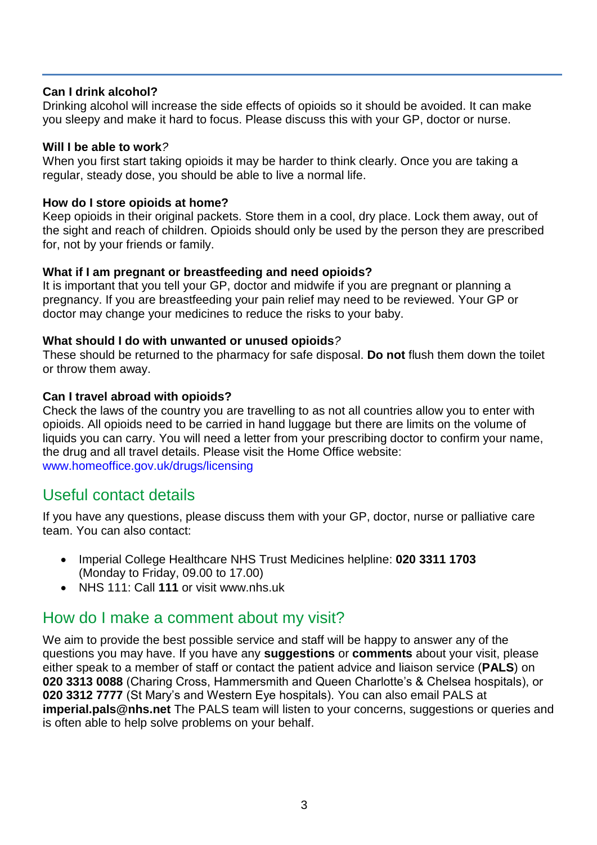#### **Can I drink alcohol?**

Drinking alcohol will increase the side effects of opioids so it should be avoided. It can make you sleepy and make it hard to focus. Please discuss this with your GP, doctor or nurse.

#### **Will I be able to work***?*

When you first start taking opioids it may be harder to think clearly. Once you are taking a regular, steady dose, you should be able to live a normal life.

#### **How do I store opioids at home?**

Keep opioids in their original packets. Store them in a cool, dry place. Lock them away, out of the sight and reach of children. Opioids should only be used by the person they are prescribed for, not by your friends or family.

#### **What if I am pregnant or breastfeeding and need opioids?**

It is important that you tell your GP, doctor and midwife if you are pregnant or planning a pregnancy. If you are breastfeeding your pain relief may need to be reviewed. Your GP or doctor may change your medicines to reduce the risks to your baby.

#### **What should I do with unwanted or unused opioids***?*

These should be returned to the pharmacy for safe disposal. **Do not** flush them down the toilet or throw them away.

#### **Can I travel abroad with opioids?**

Check the laws of the country you are travelling to as not all countries allow you to enter with opioids. All opioids need to be carried in hand luggage but there are limits on the volume of liquids you can carry. You will need a letter from your prescribing doctor to confirm your name, the drug and all travel details. Please visit the Home Office website: [www.homeoffice.gov.uk/drugs/licensing](file://clw-vfandp-003/Pharmacy-Shared/Pharmacy%20-%20Medicines%20Management/Drug%20&%20Therapeutics%20Committee%20(ICHT)/Discussion%20Items%20(CAUTION%20may%20be%20draft%20documents)/Patient%20information%20leaflets/opioid/www.homeoffice.gov.uk/drugs/licensing)

#### Useful contact details

If you have any questions, please discuss them with your GP, doctor, nurse or palliative care team. You can also contact:

- Imperial College Healthcare NHS Trust Medicines helpline: **020 3311 1703** (Monday to Friday, 09.00 to 17.00)
- NHS 111: Call **111** or visit www.nhs.uk

## How do I make a comment about my visit?

We aim to provide the best possible service and staff will be happy to answer any of the questions you may have. If you have any **suggestions** or **comments** about your visit, please either speak to a member of staff or contact the patient advice and liaison service (**PALS**) on **020 3313 0088** (Charing Cross, Hammersmith and Queen Charlotte's & Chelsea hospitals), or **020 3312 7777** (St Mary's and Western Eye hospitals). You can also email PALS at **imperial.pals@nhs.net** The PALS team will listen to your concerns, suggestions or queries and is often able to help solve problems on your behalf.